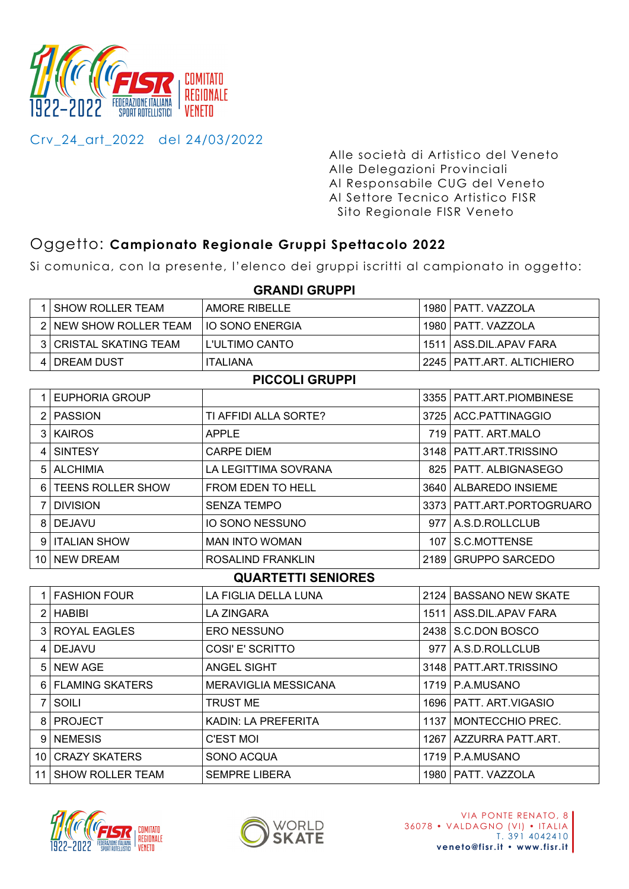

Crv\_24\_art\_2022 del 24/03/2022

Alle società di Artistico del Veneto Alle Delegazioni Provinciali Al Responsabile CUG del Veneto Al Settore Tecnico Artistico FISR Sito Regionale FISR Veneto

# Oggetto: **Campionato Regionale Gruppi Spettacolo 2022**

Si comunica, con la presente, l'elenco dei gruppi iscritti al campionato in oggetto:

|                | 1 SHOW ROLLER TEAM          | <b>AMORE RIBELLE</b>        |      | 1980   PATT. VAZZOLA        |  |  |
|----------------|-----------------------------|-----------------------------|------|-----------------------------|--|--|
|                | 2 NEW SHOW ROLLER TEAM      | <b>IO SONO ENERGIA</b>      |      | 1980   PATT. VAZZOLA        |  |  |
| 3 <sup>1</sup> | <b>CRISTAL SKATING TEAM</b> | <b>L'ULTIMO CANTO</b>       |      | 1511 ASS.DIL.APAV FARA      |  |  |
|                | 4   DREAM DUST              | <b>ITALIANA</b>             |      | 2245   PATT.ART. ALTICHIERO |  |  |
|                |                             | <b>PICCOLI GRUPPI</b>       |      |                             |  |  |
|                | 1 EUPHORIA GROUP            |                             |      | 3355   PATT.ART.PIOMBINESE  |  |  |
|                | 2 PASSION                   | TI AFFIDI ALLA SORTE?       |      | 3725   ACC.PATTINAGGIO      |  |  |
|                | 3 KAIROS                    | <b>APPLE</b>                |      | 719   PATT. ART.MALO        |  |  |
| 4 <sup>1</sup> | <b>SINTESY</b>              | <b>CARPE DIEM</b>           |      | 3148   PATT.ART.TRISSINO    |  |  |
|                | 5 ALCHIMIA                  | LA LEGITTIMA SOVRANA        |      | 825   PATT. ALBIGNASEGO     |  |  |
|                | 6   TEENS ROLLER SHOW       | FROM EDEN TO HELL           |      | 3640   ALBAREDO INSIEME     |  |  |
| 7 I            | <b>DIVISION</b>             | <b>SENZA TEMPO</b>          |      | 3373   PATT.ART.PORTOGRUARO |  |  |
|                | 8 DEJAVU                    | <b>IO SONO NESSUNO</b>      |      | 977 A.S.D.ROLLCLUB          |  |  |
|                | 9   ITALIAN SHOW            | <b>MAN INTO WOMAN</b>       | 107  | S.C.MOTTENSE                |  |  |
|                | 10 NEW DREAM                | ROSALIND FRANKLIN           | 2189 | <b>GRUPPO SARCEDO</b>       |  |  |
|                | <b>QUARTETTI SENIORES</b>   |                             |      |                             |  |  |
|                | 1   FASHION FOUR            | LA FIGLIA DELLA LUNA        |      | 2124 BASSANO NEW SKATE      |  |  |
|                | $2$ HABIBI                  | <b>LA ZINGARA</b>           |      | 1511 ASS.DIL.APAV FARA      |  |  |
|                | 3 ROYAL EAGLES              | <b>ERO NESSUNO</b>          |      | 2438 S.C.DON BOSCO          |  |  |
|                | 4 DEJAVU                    | COSI' E' SCRITTO            |      | 977   A.S.D.ROLLCLUB        |  |  |
|                | 5 NEW AGE                   | <b>ANGEL SIGHT</b>          |      | 3148   PATT.ART.TRISSINO    |  |  |
|                | 6 FLAMING SKATERS           | <b>MERAVIGLIA MESSICANA</b> |      | 1719   P.A.MUSANO           |  |  |
| 7 <sup>1</sup> | SOILI                       | <b>TRUST ME</b>             |      | 1696   PATT. ART. VIGASIO   |  |  |
|                | 8   PROJECT                 | KADIN: LA PREFERITA         |      | 1137   MONTECCHIO PREC.     |  |  |
|                | 9 NEMESIS                   | <b>C'EST MOI</b>            |      | 1267   AZZURRA PATT.ART.    |  |  |
|                | 10 CRAZY SKATERS            | SONO ACQUA                  |      | 1719   P.A.MUSANO           |  |  |
|                | 11 SHOW ROLLER TEAM         | <b>SEMPRE LIBERA</b>        |      | 1980   PATT, VAZZOLA        |  |  |

## **GRANDI GRUPPI**



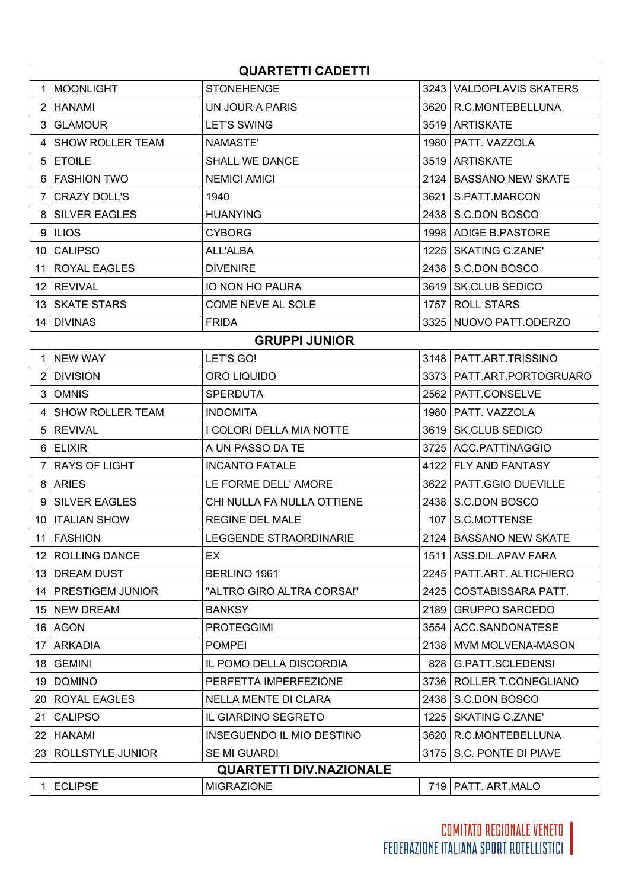| <b>QUARTETTI CADETTI</b> |                         |                       |      |                            |  |
|--------------------------|-------------------------|-----------------------|------|----------------------------|--|
|                          | <b>MOONLIGHT</b>        | <b>STONEHENGE</b>     | 3243 | <b>VALDOPLAVIS SKATERS</b> |  |
|                          | HANAMI                  | UN JOUR A PARIS       | 3620 | R.C.MONTEBELLUNA           |  |
| 3                        | <b>GLAMOUR</b>          | <b>LET'S SWING</b>    |      | 3519 ARTISKATE             |  |
|                          | <b>SHOW ROLLER TEAM</b> | NAMASTE'              | 1980 | <b>PATT. VAZZOLA</b>       |  |
| 5                        | <b>ETOILE</b>           | <b>SHALL WE DANCE</b> |      | 3519 ARTISKATE             |  |
| 6                        | <b>FASHION TWO</b>      | NEMICI AMICI          | 2124 | <b>BASSANO NEW SKATE</b>   |  |
|                          | CRAZY DOLL'S            | 1940                  | 3621 | S.PATT.MARCON              |  |
| 8                        | <b>SILVER EAGLES</b>    | <b>HUANYING</b>       | 2438 | S.C.DON BOSCO              |  |
|                          | 9 ILIOS                 | <b>CYBORG</b>         | 1998 | ADIGE B.PASTORE            |  |
| 10 I                     | <b>CALIPSO</b>          | ALL'ALBA              | 1225 | <b>SKATING C.ZANE'</b>     |  |
| 11                       | ROYAL EAGLES            | <b>DIVENIRE</b>       | 2438 | S.C.DON BOSCO              |  |
| 12                       | <b>REVIVAL</b>          | IO NON HO PAURA       | 3619 | <b>SK.CLUB SEDICO</b>      |  |
| 13 I                     | <b>SKATE STARS</b>      | COME NEVE AL SOLE     | 1757 | <b>ROLL STARS</b>          |  |
| 14                       | <b>DIVINAS</b>          | <b>FRIDA</b>          |      | 3325 NUOVO PATT.ODERZO     |  |

#### **GRUPPI JUNIOR**

|                                | <b>NEW WAY</b>          | LET'S GO!                     |      | 3148   PATT.ART.TRISSINO    |  |
|--------------------------------|-------------------------|-------------------------------|------|-----------------------------|--|
| 2                              | <b>DIVISION</b>         | ORO LIQUIDO                   |      | 3373   PATT.ART.PORTOGRUARO |  |
| 3                              | <b>OMNIS</b>            | <b>SPERDUTA</b>               |      | 2562   PATT.CONSELVE        |  |
| 4                              | <b>SHOW ROLLER TEAM</b> | <b>INDOMITA</b>               |      | 1980   PATT. VAZZOLA        |  |
| 5                              | <b>REVIVAL</b>          | I COLORI DELLA MIA NOTTE      |      | 3619   SK.CLUB SEDICO       |  |
| 6                              | <b>ELIXIR</b>           | A UN PASSO DA TE              |      | 3725 ACC.PATTINAGGIO        |  |
| 7                              | <b>RAYS OF LIGHT</b>    | <b>INCANTO FATALE</b>         |      | 4122 FLY AND FANTASY        |  |
| 8                              | <b>ARIES</b>            | LE FORME DELL' AMORE          |      | 3622   PATT.GGIO DUEVILLE   |  |
| 9                              | <b>SILVER EAGLES</b>    | CHI NULLA FA NULLA OTTIENE    |      | 2438   S.C.DON BOSCO        |  |
| 10                             | <b>ITALIAN SHOW</b>     | <b>REGINE DEL MALE</b>        |      | 107   S.C.MOTTENSE          |  |
| 11                             | <b>FASHION</b>          | <b>LEGGENDE STRAORDINARIE</b> | 2124 | <b>BASSANO NEW SKATE</b>    |  |
| $12 \overline{ }$              | <b>ROLLING DANCE</b>    | EX.                           |      | 1511   ASS.DIL.APAV FARA    |  |
| 13                             | <b>DREAM DUST</b>       | BERLINO 1961                  |      | 2245   PATT.ART. ALTICHIERO |  |
| 14                             | <b>PRESTIGEM JUNIOR</b> | "ALTRO GIRO ALTRA CORSA!"     | 2425 | COSTABISSARA PATT.          |  |
| 15                             | <b>NEW DREAM</b>        | <b>BANKSY</b>                 | 2189 | <b>GRUPPO SARCEDO</b>       |  |
| 16                             | <b>AGON</b>             | <b>PROTEGGIMI</b>             |      | 3554   ACC.SANDONATESE      |  |
| 17                             | <b>ARKADIA</b>          | <b>POMPEI</b>                 | 2138 | MVM MOLVENA-MASON           |  |
| 18                             | <b>GEMINI</b>           | IL POMO DELLA DISCORDIA       | 8281 | <b>G.PATT.SCLEDENSI</b>     |  |
| 19                             | <b>DOMINO</b>           | PERFETTA IMPERFEZIONE         |      | 3736   ROLLER T.CONEGLIANO  |  |
| 20                             | <b>ROYAL EAGLES</b>     | <b>NELLA MENTE DI CLARA</b>   | 2438 | S.C.DON BOSCO               |  |
| 21                             | <b>CALIPSO</b>          | IL GIARDINO SEGRETO           | 1225 | <b>SKATING C.ZANE'</b>      |  |
| 22                             | <b>HANAMI</b>           | INSEGUENDO IL MIO DESTINO     |      | 3620 R.C.MONTEBELLUNA       |  |
| 23                             | <b>ROLLSTYLE JUNIOR</b> | SE MI GUARDI                  |      | 3175   S.C. PONTE DI PIAVE  |  |
| <b>QUARTETTI DIV.NAZIONALE</b> |                         |                               |      |                             |  |
| 1                              | <b>ECLIPSE</b>          | <b>MIGRAZIONE</b>             |      | 719   PATT. ART.MALO        |  |

|  | )NF<br><b>IVIII</b> |  | MAI<br>∿⊷ |  |  |
|--|---------------------|--|-----------|--|--|
|  |                     |  |           |  |  |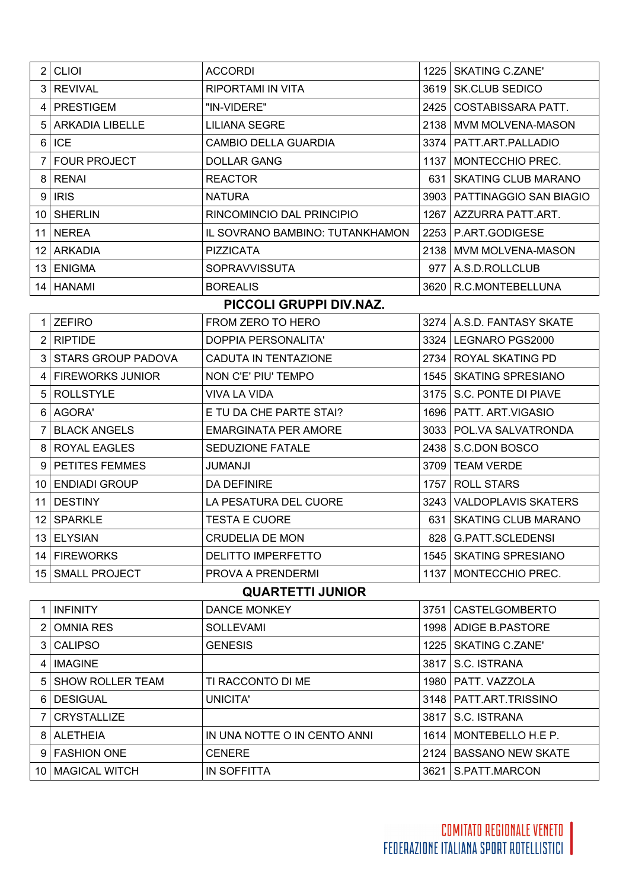| $2$ CLIOI         | <b>ACCORDI</b>                  | 1225 | <b>SKATING C.ZANE'</b>        |
|-------------------|---------------------------------|------|-------------------------------|
| 3 REVIVAL         | <b>RIPORTAMI IN VITA</b>        | 3619 | <b>SK.CLUB SEDICO</b>         |
| 4   PRESTIGEM     | "IN-VIDERE"                     | 2425 | COSTABISSARA PATT.            |
| 5 ARKADIA LIBELLE | <b>LILIANA SEGRE</b>            | 2138 | MVM MOLVENA-MASON             |
| 6 ICE             | <b>CAMBIO DELLA GUARDIA</b>     |      | 3374   PATT.ART.PALLADIO      |
| 7 FOUR PROJECT    | <b>DOLLAR GANG</b>              | 1137 | MONTECCHIO PREC.              |
| 8 RENAI           | <b>REACTOR</b>                  | 631  | <b>SKATING CLUB MARANO</b>    |
| $9$ IRIS          | <b>NATURA</b>                   |      | 3903   PATTINAGGIO SAN BIAGIO |
| 10 SHERLIN        | RINCOMINCIO DAL PRINCIPIO       | 1267 | AZZURRA PATT.ART.             |
| 11 NEREA          | IL SOVRANO BAMBINO: TUTANKHAMON |      | 2253 P.ART.GODIGESE           |
| 12 ARKADIA        | <b>PIZZICATA</b>                | 2138 | <b>MVM MOLVENA-MASON</b>      |
| 13 ENIGMA         | <b>SOPRAVVISSUTA</b>            |      | 977   A.S.D.ROLLCLUB          |
| 14   HANAMI       | <b>BOREALIS</b>                 |      | 3620   R.C.MONTEBELLUNA       |

### **PICCOLI GRUPPI DIV.NAZ.**

|    | <b>ZEFIRO</b>             | FROM ZERO TO HERO           |      | 3274   A.S.D. FANTASY SKATE |
|----|---------------------------|-----------------------------|------|-----------------------------|
|    | <b>RIPTIDE</b>            | DOPPIA PERSONALITA'         | 3324 | LEGNARO PGS2000             |
| 3  | <b>STARS GROUP PADOVA</b> | CADUTA IN TENTAZIONE        | 2734 | ROYAL SKATING PD            |
| 4  | <b>FIREWORKS JUNIOR</b>   | NON C'E' PIU' TEMPO         | 1545 | <b>SKATING SPRESIANO</b>    |
| 5  | <b>ROLLSTYLE</b>          | VIVA LA VIDA                | 3175 | S.C. PONTE DI PIAVE         |
| 6  | AGORA'                    | E TU DA CHE PARTE STAI?     | 1696 | PATT. ART.VIGASIO           |
|    | <b>BLACK ANGELS</b>       | <b>EMARGINATA PER AMORE</b> | 3033 | POL.VA SALVATRONDA          |
| 8  | ROYAL EAGLES              | <b>SEDUZIONE FATALE</b>     |      | 2438   S.C.DON BOSCO        |
| 9  | <b>PETITES FEMMES</b>     | JUMANJI                     | 3709 | <b>TEAM VERDE</b>           |
| 10 | <b>ENDIADI GROUP</b>      | <b>DA DEFINIRE</b>          | 1757 | <b>ROLL STARS</b>           |
| 11 | <b>DESTINY</b>            | LA PESATURA DEL CUORE       | 3243 | <b>VALDOPLAVIS SKATERS</b>  |
| 12 | <b>SPARKLE</b>            | <b>TESTA E CUORE</b>        | 631  | <b>SKATING CLUB MARANO</b>  |
| 13 | <b>ELYSIAN</b>            | CRUDELIA DE MON             | 828  | <b>G.PATT.SCLEDENSI</b>     |
| 14 | <b>FIREWORKS</b>          | <b>DELITTO IMPERFETTO</b>   | 1545 | <b>SKATING SPRESIANO</b>    |
| 15 | <b>SMALL PROJECT</b>      | PROVA A PRENDERMI           | 1137 | MONTECCHIO PREC.            |

## **QUARTETTI JUNIOR**

|    | <b>INFINITY</b>         | <b>DANCE MONKEY</b>          | 3751 | <b>CASTELGOMBERTO</b>    |
|----|-------------------------|------------------------------|------|--------------------------|
| 2  | <b>OMNIA RES</b>        | <b>SOLLEVAMI</b>             |      | 1998   ADIGE B.PASTORE   |
|    | <b>CALIPSO</b>          | <b>GENESIS</b>               | 1225 | <b>SKATING C.ZANE'</b>   |
| 4  | <b>IMAGINE</b>          |                              | 3817 | S.C. ISTRANA             |
| 5  | <b>SHOW ROLLER TEAM</b> | TI RACCONTO DI ME            | 1980 | PATT, VAZZOLA            |
| 6  | <b>DESIGUAL</b>         | UNICITA'                     | 3148 | PATT.ART.TRISSINO        |
|    | <b>CRYSTALLIZE</b>      |                              | 3817 | S.C. ISTRANA             |
| 8  | <b>ALETHEIA</b>         | IN UNA NOTTE O IN CENTO ANNI | 1614 | MONTEBELLO H.E P.        |
| 9  | <b>FASHION ONE</b>      | <b>CENERE</b>                | 2124 | <b>BASSANO NEW SKATE</b> |
| 10 | <b>MAGICAL WITCH</b>    | IN SOFFITTA                  | 3621 | S.PATT.MARCON            |